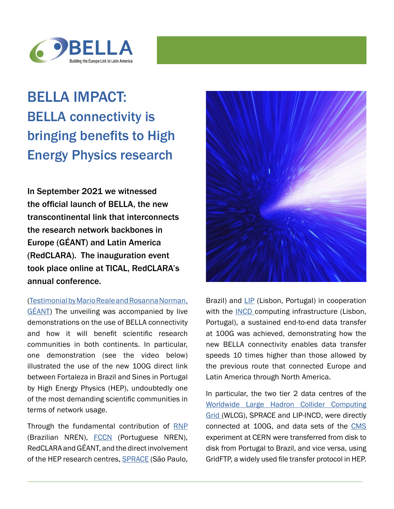

## BELLA IMPACT: BELLA connectivity is bringing benefits to High Energy Physics research

In September 2021 we witnessed the official launch of BELLA, the new transcontinental link that interconnects the research network backbones in Europe (GÉANT) and Latin America (RedCLARA). The inauguration event took place online at TICAL, RedCLARA's annual conference.

[\(Testimonial by Mario Reale and Rosanna Norman,](https://connect.geant.org/2021/11/23/bella-connectivity-brings-benefits-to-high-energy-physics-research)  [GÉANT\)](https://connect.geant.org/2021/11/23/bella-connectivity-brings-benefits-to-high-energy-physics-research) The unveiling was accompanied by live demonstrations on the use of BELLA connectivity and how it will benefit scientific research communities in both continents. In particular, one demonstration (see the video below) illustrated the use of the new 100G direct link between Fortaleza in Brazil and Sines in Portugal by High Energy Physics (HEP), undoubtedly one of the most demanding scientific communities in terms of network usage.

Through the fundamental contribution of RNP (Brazilian NREN), [FCCN](https://www.fccn.pt/) (Portuguese NREN), RedCLARA and GÉANT, and the direct involvement of the HEP research centres, **SPRACE** (São Paulo,



Brazil) and [LIP](https://www.lip.pt/?section=home&page=homepage) (Lisbon, Portugal) in cooperation with the **INCD** computing infrastructure (Lisbon, Portugal), a sustained end-to-end data transfer at 100G was achieved, demonstrating how the new BELLA connectivity enables data transfer speeds 10 times higher than those allowed by the previous route that connected Europe and Latin America through North America.

In particular, the two tier 2 data centres of the [Worldwide Large Hadron Collider Computing](https://home.cern/science/computing/grid) [Grid \(](https://home.cern/science/computing/grid)WLCG), SPRACE and LIP-INCD, were directly connected at 100G, and data sets of the [CMS](https://home.cern/science/experiments/cms) experiment at CERN were transferred from disk to disk from Portugal to Brazil, and vice versa, using GridFTP, a widely used file transfer protocol in HEP.